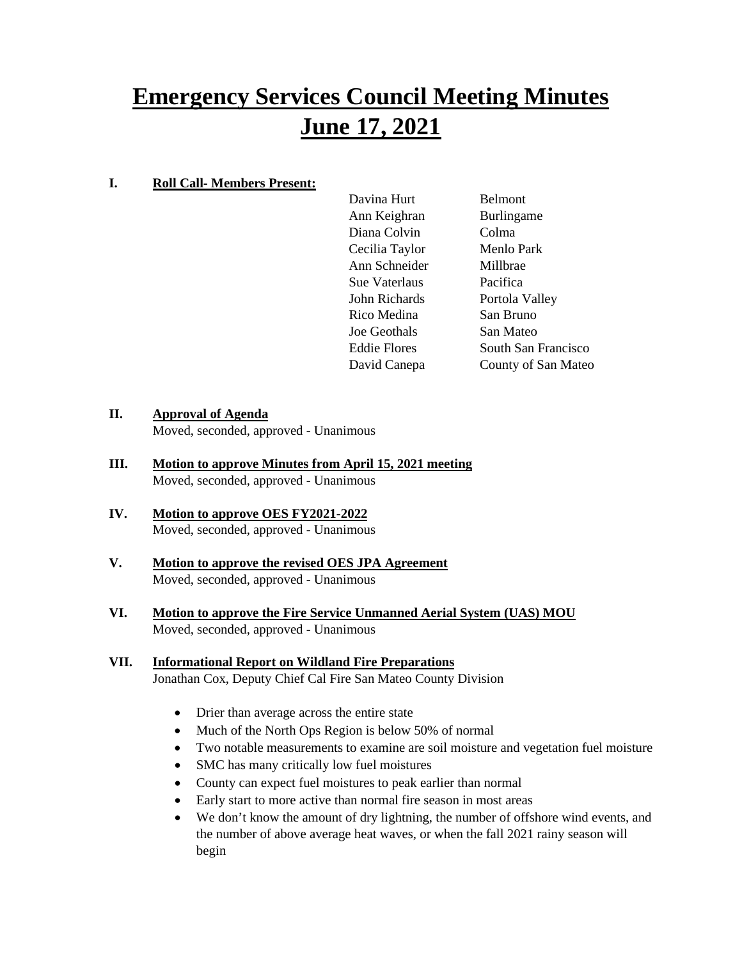# **Emergency Services Council Meeting Minutes June 17, 2021**

# **I. Roll Call- Members Present:**

Davina Hurt Belmont Ann Keighran Burlingame Diana Colvin Colma Cecilia Taylor Menlo Park Ann Schneider Millbrae Sue Vaterlaus Pacifica John Richards Portola Valley Rico Medina San Bruno Joe Geothals San Mateo Eddie Flores South San Francisco David Canepa County of San Mateo

# **II. Approval of Agenda**

Moved, seconded, approved - Unanimous

- **III. Motion to approve Minutes from April 15, 2021 meeting** Moved, seconded, approved - Unanimous
- **IV. Motion to approve OES FY2021-2022** Moved, seconded, approved - Unanimous
- **V. Motion to approve the revised OES JPA Agreement** Moved, seconded, approved - Unanimous
- **VI. Motion to approve the Fire Service Unmanned Aerial System (UAS) MOU** Moved, seconded, approved - Unanimous

#### **VII. Informational Report on Wildland Fire Preparations** Jonathan Cox, Deputy Chief Cal Fire San Mateo County Division

- Drier than average across the entire state
- Much of the North Ops Region is below 50% of normal
- Two notable measurements to examine are soil moisture and vegetation fuel moisture
- SMC has many critically low fuel moistures
- County can expect fuel moistures to peak earlier than normal
- Early start to more active than normal fire season in most areas
- We don't know the amount of dry lightning, the number of offshore wind events, and the number of above average heat waves, or when the fall 2021 rainy season will begin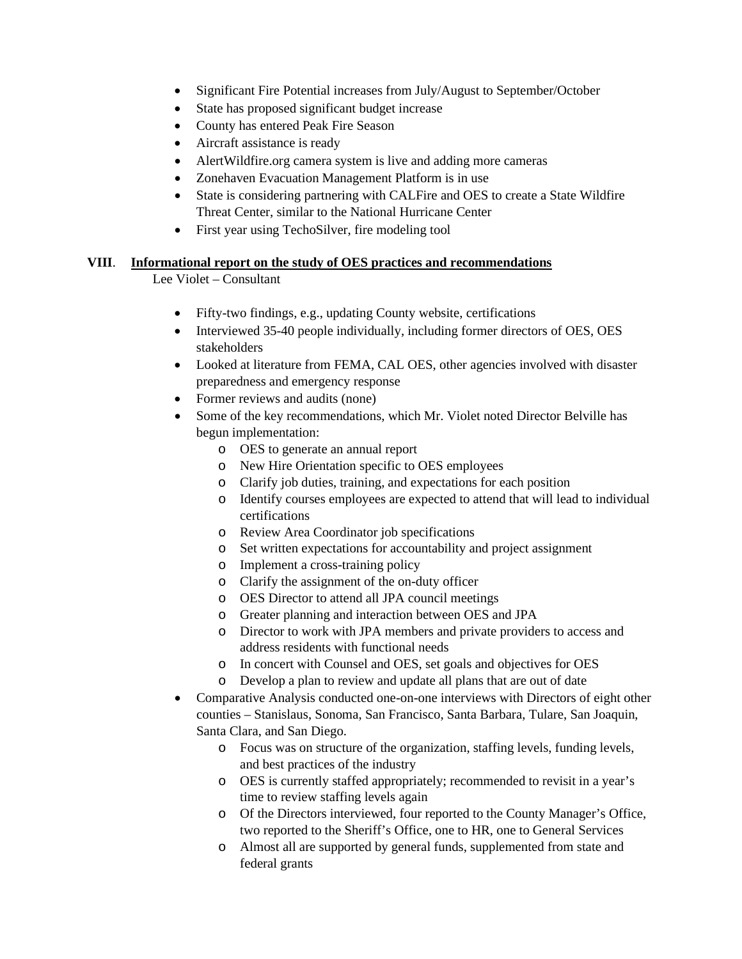- Significant Fire Potential increases from July/August to September/October
- State has proposed significant budget increase
- County has entered Peak Fire Season
- Aircraft assistance is ready
- AlertWildfire.org camera system is live and adding more cameras
- Zonehaven Evacuation Management Platform is in use
- State is considering partnering with CALFire and OES to create a State Wildfire Threat Center, similar to the National Hurricane Center
- First year using TechoSilver, fire modeling tool

#### **VIII**. **Informational report on the study of OES practices and recommendations**

Lee Violet – Consultant

- Fifty-two findings, e.g., updating County website, certifications
- Interviewed 35-40 people individually, including former directors of OES, OES stakeholders
- Looked at literature from FEMA, CAL OES, other agencies involved with disaster preparedness and emergency response
- Former reviews and audits (none)
- Some of the key recommendations, which Mr. Violet noted Director Belville has begun implementation:
	- o OES to generate an annual report
	- o New Hire Orientation specific to OES employees
	- o Clarify job duties, training, and expectations for each position
	- o Identify courses employees are expected to attend that will lead to individual certifications
	- o Review Area Coordinator job specifications
	- o Set written expectations for accountability and project assignment
	- o Implement a cross-training policy
	- o Clarify the assignment of the on-duty officer
	- o OES Director to attend all JPA council meetings
	- o Greater planning and interaction between OES and JPA
	- o Director to work with JPA members and private providers to access and address residents with functional needs
	- o In concert with Counsel and OES, set goals and objectives for OES
	- o Develop a plan to review and update all plans that are out of date
- Comparative Analysis conducted one-on-one interviews with Directors of eight other counties – Stanislaus, Sonoma, San Francisco, Santa Barbara, Tulare, San Joaquin, Santa Clara, and San Diego.
	- o Focus was on structure of the organization, staffing levels, funding levels, and best practices of the industry
	- o OES is currently staffed appropriately; recommended to revisit in a year's time to review staffing levels again
	- o Of the Directors interviewed, four reported to the County Manager's Office, two reported to the Sheriff's Office, one to HR, one to General Services
	- o Almost all are supported by general funds, supplemented from state and federal grants